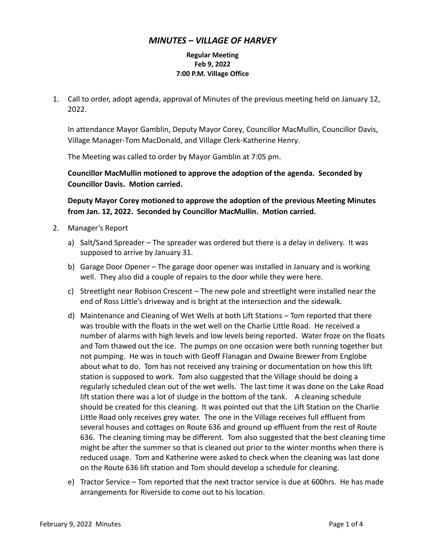## *MINUTES – VILLAGE OF HARVEY*

## **Regular Meeting Feb 9, 2022 7:00 P.M. Village Office**

1. Call to order, adopt agenda, approval of Minutes of the previous meeting held on January 12, 2022.

In attendance Mayor Gamblin, Deputy Mayor Corey, Councillor MacMullin, Councillor Davis, Village Manager-Tom MacDonald, and Village Clerk-Katherine Henry.

The Meeting was called to order by Mayor Gamblin at 7:05 pm.

**Councillor MacMullin motioned to approve the adoption of the agenda. Seconded by Councillor Davis. Motion carried.**

**Deputy Mayor Corey motioned to approve the adoption of the previous Meeting Minutes from Jan. 12, 2022. Seconded by Councillor MacMullin. Motion carried.**

- 2. Manager's Report
	- a) Salt/Sand Spreader The spreader was ordered but there is a delay in delivery. It was supposed to arrive by January 31.
	- b) Garage Door Opener The garage door opener was installed in January and is working well. They also did a couple of repairs to the door while they were here.
	- c) Streetlight near Robison Crescent The new pole and streetlight were installed near the end of Ross Little's driveway and is bright at the intersection and the sidewalk.
	- d) Maintenance and Cleaning of Wet Wells at both Lift Stations Tom reported that there was trouble with the floats in the wet well on the Charlie Little Road. He received a number of alarms with high levels and low levels being reported. Water froze on the floats and Tom thawed out the ice. The pumps on one occasion were both running together but not pumping. He was in touch with Geoff Flanagan and Dwaine Brewer from Englobe about what to do. Tom has not received any training or documentation on how this lift station is supposed to work. Tom also suggested that the Village should be doing a regularly scheduled clean out of the wet wells. The last time it was done on the Lake Road lift station there was a lot of sludge in the bottom of the tank. A cleaning schedule should be created for this cleaning. It was pointed out that the Lift Station on the Charlie Little Road only receives grey water. The one in the Village receives full effluent from several houses and cottages on Route 636 and ground up effluent from the rest of Route 636. The cleaning timing may be different. Tom also suggested that the best cleaning time might be after the summer so that is cleaned out prior to the winter months when there is reduced usage. Tom and Katherine were asked to check when the cleaning was last done on the Route 636 lift station and Tom should develop a schedule for cleaning.
	- e) Tractor Service Tom reported that the next tractor service is due at 600hrs. He has made arrangements for Riverside to come out to his location.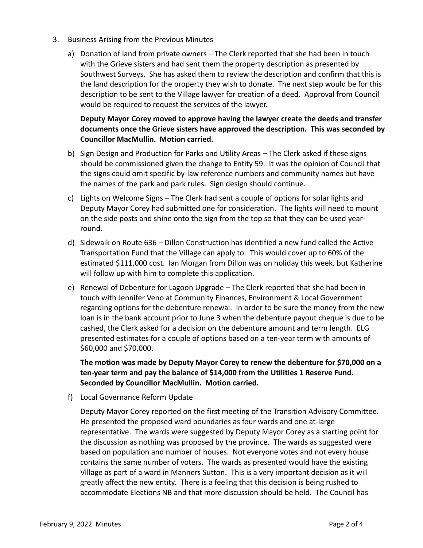- 3. Business Arising from the Previous Minutes
	- a) Donation of land from private owners The Clerk reported that she had been in touch with the Grieve sisters and had sent them the property description as presented by Southwest Surveys. She has asked them to review the description and confirm that this is the land description for the property they wish to donate. The next step would be for this description to be sent to the Village lawyer for creation of a deed. Approval from Council would be required to request the services of the lawyer.

## **Deputy Mayor Corey moved to approve having the lawyer create the deeds and transfer documents once the Grieve sisters have approved the description. This was seconded by Councillor MacMullin. Motion carried.**

- b) Sign Design and Production for Parks and Utility Areas The Clerk asked if these signs should be commissioned given the change to Entity 59. It was the opinion of Council that the signs could omit specific by-law reference numbers and community names but have the names of the park and park rules. Sign design should continue.
- c) Lights on Welcome Signs The Clerk had sent a couple of options for solar lights and Deputy Mayor Corey had submitted one for consideration. The lights will need to mount on the side posts and shine onto the sign from the top so that they can be used yearround.
- d) Sidewalk on Route 636 Dillon Construction has identified a new fund called the Active Transportation Fund that the Village can apply to. This would cover up to 60% of the estimated \$111,000 cost. Ian Morgan from Dillon was on holiday this week, but Katherine will follow up with him to complete this application.
- e) Renewal of Debenture for Lagoon Upgrade The Clerk reported that she had been in touch with Jennifer Veno at Community Finances, Environment & Local Government regarding options for the debenture renewal. In order to be sure the money from the new loan is in the bank account prior to June 3 when the debenture payout cheque is due to be cashed, the Clerk asked for a decision on the debenture amount and term length. ELG presented estimates for a couple of options based on a ten-year term with amounts of \$60,000 and \$70,000.

## **The motion was made by Deputy Mayor Corey to renew the debenture for \$70,000 on a ten-year term and pay the balance of \$14,000 from the Utilities 1 Reserve Fund. Seconded by Councillor MacMullin. Motion carried.**

f) Local Governance Reform Update

Deputy Mayor Corey reported on the first meeting of the Transition Advisory Committee. He presented the proposed ward boundaries as four wards and one at-large representative. The wards were suggested by Deputy Mayor Corey as a starting point for the discussion as nothing was proposed by the province. The wards as suggested were based on population and number of houses. Not everyone votes and not every house contains the same number of voters. The wards as presented would have the existing Village as part of a ward in Manners Sutton. This is a very important decision as it will greatly affect the new entity. There is a feeling that this decision is being rushed to accommodate Elections NB and that more discussion should be held. The Council has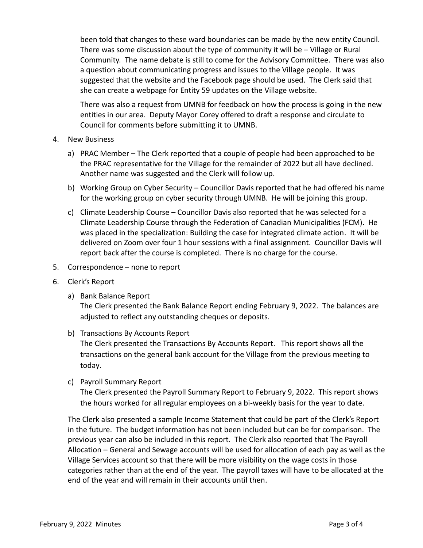been told that changes to these ward boundaries can be made by the new entity Council. There was some discussion about the type of community it will be – Village or Rural Community. The name debate is still to come for the Advisory Committee. There was also a question about communicating progress and issues to the Village people. It was suggested that the website and the Facebook page should be used. The Clerk said that she can create a webpage for Entity 59 updates on the Village website.

There was also a request from UMNB for feedback on how the process is going in the new entities in our area. Deputy Mayor Corey offered to draft a response and circulate to Council for comments before submitting it to UMNB.

- 4. New Business
	- a) PRAC Member The Clerk reported that a couple of people had been approached to be the PRAC representative for the Village for the remainder of 2022 but all have declined. Another name was suggested and the Clerk will follow up.
	- b) Working Group on Cyber Security Councillor Davis reported that he had offered his name for the working group on cyber security through UMNB. He will be joining this group.
	- c) Climate Leadership Course Councillor Davis also reported that he was selected for a Climate Leadership Course through the Federation of Canadian Municipalities (FCM). He was placed in the specialization: Building the case for integrated climate action. It will be delivered on Zoom over four 1 hour sessions with a final assignment. Councillor Davis will report back after the course is completed. There is no charge for the course.
- 5. Correspondence none to report
- 6. Clerk's Report
	- a) Bank Balance Report

The Clerk presented the Bank Balance Report ending February 9, 2022. The balances are adjusted to reflect any outstanding cheques or deposits.

b) Transactions By Accounts Report

The Clerk presented the Transactions By Accounts Report. This report shows all the transactions on the general bank account for the Village from the previous meeting to today.

c) Payroll Summary Report

The Clerk presented the Payroll Summary Report to February 9, 2022. This report shows the hours worked for all regular employees on a bi-weekly basis for the year to date.

The Clerk also presented a sample Income Statement that could be part of the Clerk's Report in the future. The budget information has not been included but can be for comparison. The previous year can also be included in this report. The Clerk also reported that The Payroll Allocation – General and Sewage accounts will be used for allocation of each pay as well as the Village Services account so that there will be more visibility on the wage costs in those categories rather than at the end of the year. The payroll taxes will have to be allocated at the end of the year and will remain in their accounts until then.